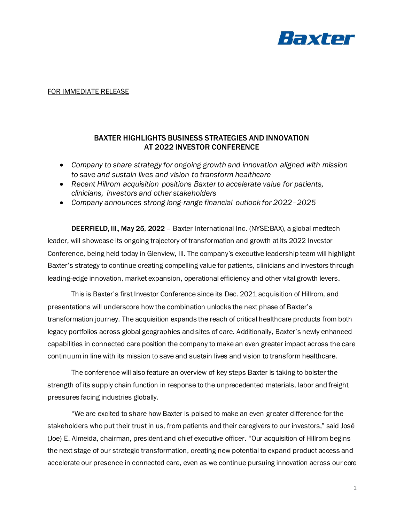

## FOR IMMEDIATE RELEASE

# BAXTER HIGHLIGHTS BUSINESS STRATEGIES AND INNOVATION AT 2022 INVESTOR CONFERENCE

- *Company to share strategy for ongoing growth and innovation aligned with mission to save and sustain lives and vision to transform healthcare*
- *Recent Hillrom acquisition positions Baxter to accelerate value for patients, clinicians, investors and other stakeholders*
- *Company announces strong long-range financial outlook for 2022–2025*

DEERFIELD, Ill., May 25, 2022 – Baxter International Inc. (NYSE:BAX), a global medtech leader, will showcase its ongoing trajectory of transformation and growth at its 2022 Investor Conference, being held today in Glenview, Ill. The company's executive leadership team will highlight Baxter's strategy to continue creating compelling value for patients, clinicians and investors through leading-edge innovation, market expansion, operational efficiency and other vital growth levers.

This is Baxter's first Investor Conference since its Dec. 2021 acquisition of Hillrom, and presentations will underscore how the combination unlocks the next phase of Baxter's transformation journey. The acquisition expands the reach of critical healthcare products from both legacy portfolios across global geographies and sites of care. Additionally, Baxter's newly enhanced capabilities in connected care position the company to make an even greater impact across the care continuum in line with its mission to save and sustain lives and vision to transform healthcare.

The conference will also feature an overview of key steps Baxter is taking to bolster the strength of its supply chain function in response to the unprecedented materials, labor and freight pressures facing industries globally.

"We are excited to share how Baxter is poised to make an even greater difference for the stakeholders who put their trust in us, from patients and their caregivers to our investors," said José (Joe) E. Almeida, chairman, president and chief executive officer. "Our acquisition of Hillrom begins the next stage of our strategic transformation, creating new potential to expand product access and accelerate our presence in connected care, even as we continue pursuing innovation across our core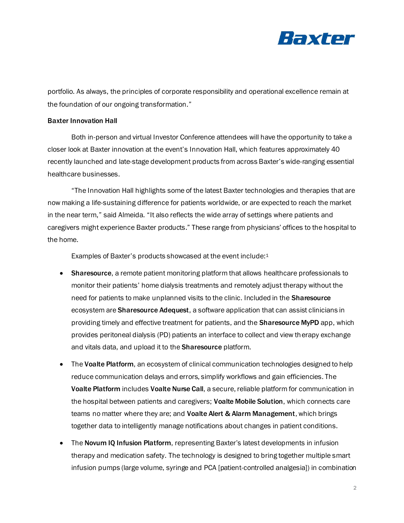

portfolio. As always, the principles of corporate responsibility and operational excellence remain at the foundation of our ongoing transformation."

## Baxter Innovation Hall

Both in-person and virtual Investor Conference attendees will have the opportunity to take a closer look at Baxter innovation at the event's Innovation Hall, which features approximately 40 recently launched and late-stage development products from across Baxter's wide-ranging essential healthcare businesses.

"The Innovation Hall highlights some of the latest Baxter technologies and therapies that are now making a life-sustaining difference for patients worldwide, or are expected to reach the market in the near term," said Almeida. "It also reflects the wide array of settings where patients and caregivers might experience Baxter products." These range from physicians' offices to the hospital to the home.

Examples of Baxter's products showcased at the event include:<sup>1</sup>

- Sharesource, a remote patient monitoring platform that allows healthcare professionals to monitor their patients' home dialysis treatments and remotely adjust therapy without the need for patients to make unplanned visits to the clinic. Included in the Sharesource ecosystem are **Sharesource Adequest**, a software application that can assist clinicians in providing timely and effective treatment for patients, and the **Sharesource MyPD** app, which provides peritoneal dialysis (PD) patients an interface to collect and view therapy exchange and vitals data, and upload it to the Sharesource platform.
- The Voalte Platform, an ecosystem of clinical communication technologies designed to help reduce communication delays and errors, simplify workflows and gain efficiencies. The Voalte Platform includes Voalte Nurse Call, a secure, reliable platform for communication in the hospital between patients and caregivers; Voalte Mobile Solution, which connects care teams no matter where they are; and Voalte Alert & Alarm Management, which brings together data to intelligently manage notifications about changes in patient conditions.
- The Novum IQ Infusion Platform, representing Baxter's latest developments in infusion therapy and medication safety. The technology is designed to bring together multiple smart infusion pumps (large volume, syringe and PCA [patient-controlled analgesia]) in combination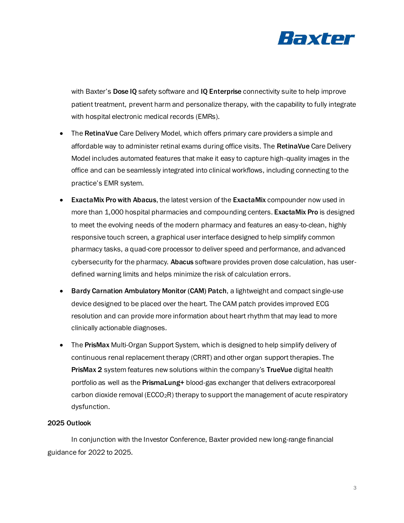

with Baxter's Dose IQ safety software and IQ Enterprise connectivity suite to help improve patient treatment, prevent harm and personalize therapy, with the capability to fully integrate with hospital electronic medical records (EMRs).

- The RetinaVue Care Delivery Model, which offers primary care providers a simple and affordable way to administer retinal exams during office visits. The RetinaVue Care Delivery Model includes automated features that make it easy to capture high-quality images in the office and can be seamlessly integrated into clinical workflows, including connecting to the practice's EMR system.
- **ExactaMix Pro with Abacus, the latest version of the ExactaMix compounder now used in** more than 1,000 hospital pharmacies and compounding centers. ExactaMix Pro is designed to meet the evolving needs of the modern pharmacy and features an easy-to-clean, highly responsive touch screen, a graphical user interface designed to help simplify common pharmacy tasks, a quad-core processor to deliver speed and performance, and advanced cybersecurity for the pharmacy. Abacus software provides proven dose calculation, has userdefined warning limits and helps minimize the risk of calculation errors.
- Bardy Carnation Ambulatory Monitor (CAM) Patch, a lightweight and compact single-use device designed to be placed over the heart. The CAM patch provides improved ECG resolution and can provide more information about heart rhythm that may lead to more clinically actionable diagnoses.
- The PrisMax Multi-Organ Support System, which is designed to help simplify delivery of continuous renal replacement therapy (CRRT) and other organ support therapies. The PrisMax 2 system features new solutions within the company's TrueVue digital health portfolio as well as the PrismaLung+ blood-gas exchanger that delivers extracorporeal carbon dioxide removal ( $ECCO<sub>2</sub>R$ ) therapy to support the management of acute respiratory dysfunction.

# 2025 Outlook

In conjunction with the Investor Conference, Baxter provided new long-range financial guidance for 2022 to 2025.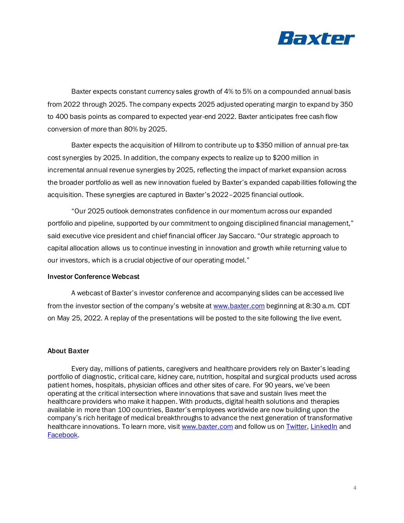

Baxter expects constant currency sales growth of 4% to 5% on a compounded annual basis from 2022 through 2025. The company expects 2025 adjusted operating margin to expand by 350 to 400 basis points as compared to expected year-end 2022. Baxter anticipates free cash flow conversion of more than 80% by 2025.

Baxter expects the acquisition of Hillrom to contribute up to \$350 million of annual pre-tax cost synergies by 2025. In addition, the company expects to realize up to \$200 million in incremental annual revenue synergies by 2025, reflecting the impact of market expansion across the broader portfolio as well as new innovation fueled by Baxter's expanded capabilities following the acquisition. These synergies are captured in Baxter's 2022–2025 financial outlook.

"Our 2025 outlook demonstrates confidence in our momentum across our expanded portfolio and pipeline, supported by our commitment to ongoing disciplined financial management," said executive vice president and chief financial officer Jay Saccaro. "Our strategic approach to capital allocation allows us to continue investing in innovation and growth while returning value to our investors, which is a crucial objective of our operating model."

#### Investor Conference Webcast

A webcast of Baxter's investor conference and accompanying slides can be accessed live from the investor section of the company's website at [www.baxter.com](http://www.baxter.com/) beginning at 8:30 a.m. CDT on May 25, 2022. A replay of the presentations will be posted to the site following the live event.

#### About Baxter

Every day, millions of patients, caregivers and healthcare providers rely on Baxter's leading portfolio of diagnostic, critical care, kidney care, nutrition, hospital and surgical products used across patient homes, hospitals, physician offices and other sites of care. For 90 years, we've been operating at the critical intersection where innovations that save and sustain lives meet the healthcare providers who make it happen. With products, digital health solutions and therapies available in more than 100 countries, Baxter's employees worldwide are now building upon the company's rich heritage of medical breakthroughs to advance the next generation of transformative healthcare innovations. To learn more, visi[t www.baxter.com](http://www.baxter.com/) and follow us o[n Twitter](https://twitter.com/baxter_intl)[, LinkedIn](https://www.linkedin.com/company/baxter-healthcare/) and [Facebook.](https://www.facebook.com/BaxterInternational)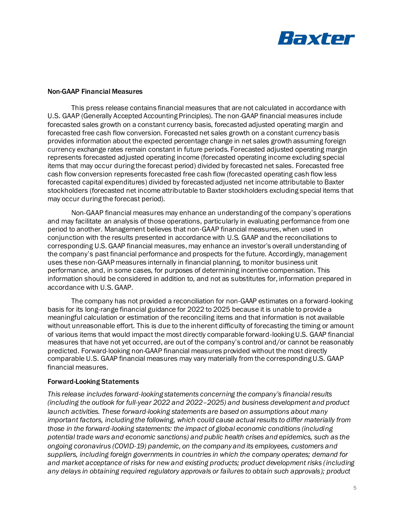

### Non-GAAP Financial Measures

This press release contains financial measures that are not calculated in accordance with U.S. GAAP (Generally Accepted Accounting Principles). The non-GAAP financial measures include forecasted sales growth on a constant currency basis, forecasted adjusted operating margin and forecasted free cash flow conversion. Forecasted net sales growth on a constant currency basis provides information about the expected percentage change in net sales growth assuming foreign currency exchange rates remain constant in future periods. Forecasted adjusted operating margin represents forecasted adjusted operating income (forecasted operating income excluding special items that may occur during the forecast period) divided by forecasted net sales. Forecasted free cash flow conversion represents forecasted free cash flow (forecasted operating cash flow less forecasted capital expenditures) divided by forecasted adjusted net income attributable to Baxter stockholders (forecasted net income attributable to Baxter stockholders excluding special items that may occur during the forecast period).

Non-GAAP financial measures may enhance an understanding of the company's operations and may facilitate an analysis of those operations, particularly in evaluating performance from one period to another. Management believes that non-GAAP financial measures, when used in conjunction with the results presented in accordance with U.S. GAAP and the reconciliations to corresponding U.S. GAAP financial measures, may enhance an investor's overall understanding of the company's past financial performance and prospects for the future. Accordingly, management uses these non-GAAP measures internally in financial planning, to monitor business unit performance, and, in some cases, for purposes of determining incentive compensation. This information should be considered in addition to, and not as substitutes for, information prepared in accordance with U.S. GAAP.

The company has not provided a reconciliation for non-GAAP estimates on a forward-looking basis for its long-range financial guidance for 2022 to 2025 because it is unable to provide a meaningful calculation or estimation of the reconciling items and that information is not available without unreasonable effort. This is due to the inherent difficulty of forecasting the timing or amount of various items that would impact the most directly comparable forward-looking U.S. GAAP financial measures that have not yet occurred, are out of the company's control and/or cannot be reasonably predicted. Forward-looking non-GAAP financial measures provided without the most directly comparable U.S. GAAP financial measures may vary materially from the corresponding U.S. GAAP financial measures.

# Forward-Looking Statements

*This release includes forward-looking statements concerning the company's financial results (including the outlook for full-year 2022 and 2022–2025) and business development and product launch activities. These forward-looking statements are based on assumptions about many important factors, including the following, which could cause actual results to differ materially from those in the forward-looking statements: the impact of global economic conditions (including potential trade wars and economic sanctions) and public health crises and epidemics, such as the ongoing coronavirus (COVID-19) pandemic, on the company and its employees, customers and suppliers, including foreign governments in countries in which the company operates; demand for and market acceptance of risks for new and existing products; product development risks (including any delays in obtaining required regulatory approvals or failures to obtain such approvals); product*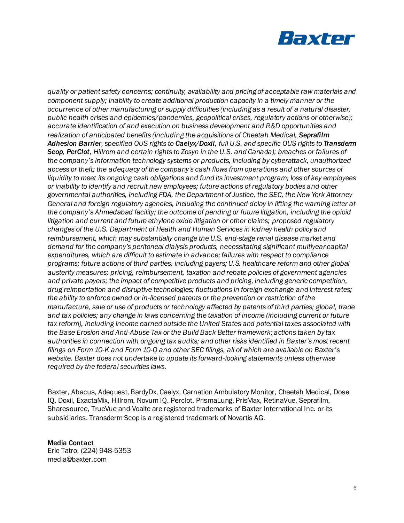

*quality or patient safety concerns; continuity, availability and pricing of acceptable raw materials and component supply; inability to create additional production capacity in a timely manner or the occurrence of other manufacturing or supply difficulties (including as a result of a natural disaster, public health crises and epidemics/pandemics, geopolitical crises, regulatory actions or otherwise); accurate identification of and execution on business development and R&D opportunities and realization of anticipated benefits (including the acquisitions of Cheetah Medical, Seprafilm Adhesion Barrier, specified OUS rights to Caelyx/Doxil, full U.S. and specific OUS rights to Transderm Scop, PerClot, Hillrom and certain rights to Zosyn in the U.S. and Canada); breaches or failures of the company's information technology systems or products, including by cyberattack, unauthorized access or theft; the adequacy of the company's cash flows from operations and other sources of liquidity to meet its ongoing cash obligations and fund its investment program; loss of key employees or inability to identify and recruit new employees; future actions of regulatory bodies and other governmental authorities, including FDA, the Department of Justice, the SEC, the New York Attorney General and foreign regulatory agencies, including the continued delay in lifting the warning letter at the company's Ahmedabad facility; the outcome of pending or future litigation, including the opioid litigation and current and future ethylene oxide litigation or other claims; proposed regulatory changes of the U.S. Department of Health and Human Services in kidney health policy and reimbursement, which may substantially change the U.S. end-stage renal disease market and demand for the company's peritoneal dialysis products, necessitating significant multiyear capital expenditures, which are difficult to estimate in advance; failures with respect to compliance programs; future actions of third parties, including payers; U.S. healthcare reform and other global austerity measures; pricing, reimbursement, taxation and rebate policies of government agencies and private payers; the impact of competitive products and pricing, including generic competition, drug reimportation and disruptive technologies; fluctuations in foreign exchange and interest rates; the ability to enforce owned or in-licensed patents or the prevention or restriction of the manufacture, sale or use of products or technology affected by patents of third parties; global, trade and tax policies; any change in laws concerning the taxation of income (including current or future tax reform), including income earned outside the United States and potential taxes associated with the Base Erosion and Anti-Abuse Tax or the Build Back Better framework; actions taken by tax authorities in connection with ongoing tax audits; and other risks identified in Baxter's most recent filings on Form 10-K and Form 10-Q and other SEC filings, all of which are available on Baxter's website. Baxter does not undertake to update its forward-looking statements unless otherwise required by the federal securities laws.*

Baxter, Abacus, Adequest, BardyDx, Caelyx, Carnation Ambulatory Monitor, Cheetah Medical, Dose IQ, Doxil, ExactaMix, Hillrom, Novum IQ. Perclot, PrismaLung, PrisMax, RetinaVue, Seprafilm, Sharesource, TrueVue and Voalte are registered trademarks of Baxter International Inc. or its subsidiaries. Transderm Scop is a registered trademark of Novartis AG.

Media Contact Eric Tatro, (224) 948-5353 media@baxter.com